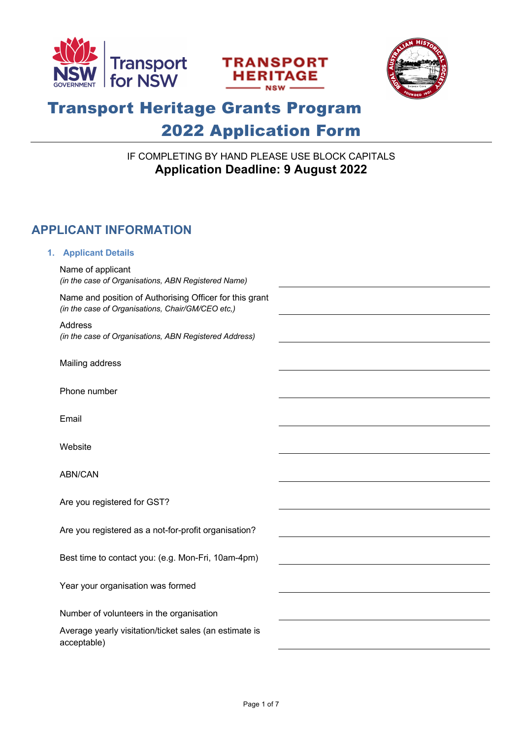





# Transport Heritage Grants Program 2022 Application Form

### IF COMPLETING BY HAND PLEASE USE BLOCK CAPITALS **Application Deadline: 9 August 2022**

# **APPLICANT INFORMATION**

#### **1. Applicant Details**

| Name of applicant<br>(in the case of Organisations, ABN Registered Name)                                     |  |
|--------------------------------------------------------------------------------------------------------------|--|
| Name and position of Authorising Officer for this grant<br>(in the case of Organisations, Chair/GM/CEO etc,) |  |
| Address<br>(in the case of Organisations, ABN Registered Address)                                            |  |
| Mailing address                                                                                              |  |
| Phone number                                                                                                 |  |
| Email                                                                                                        |  |
| Website                                                                                                      |  |
| ABN/CAN                                                                                                      |  |
| Are you registered for GST?                                                                                  |  |
| Are you registered as a not-for-profit organisation?                                                         |  |
| Best time to contact you: (e.g. Mon-Fri, 10am-4pm)                                                           |  |
| Year your organisation was formed                                                                            |  |
| Number of volunteers in the organisation                                                                     |  |
| Average yearly visitation/ticket sales (an estimate is<br>acceptable)                                        |  |
|                                                                                                              |  |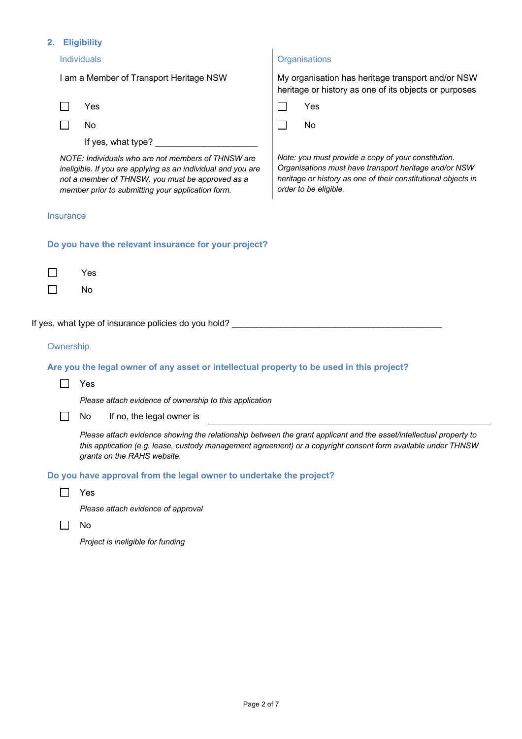#### **2. Eligibility**

| Individuals                                          |                                                                                                                                                                                                                                                                    | Organisations |                                                                                                                                                                                                        |
|------------------------------------------------------|--------------------------------------------------------------------------------------------------------------------------------------------------------------------------------------------------------------------------------------------------------------------|---------------|--------------------------------------------------------------------------------------------------------------------------------------------------------------------------------------------------------|
| I am a Member of Transport Heritage NSW              |                                                                                                                                                                                                                                                                    |               | My organisation has heritage transport and/or NSW<br>heritage or history as one of its objects or purposes                                                                                             |
|                                                      | Yes                                                                                                                                                                                                                                                                |               | Yes                                                                                                                                                                                                    |
|                                                      | No                                                                                                                                                                                                                                                                 | $\Box$        | No                                                                                                                                                                                                     |
|                                                      | If yes, what type?                                                                                                                                                                                                                                                 |               |                                                                                                                                                                                                        |
|                                                      | NOTE: Individuals who are not members of THNSW are<br>ineligible. If you are applying as an individual and you are<br>not a member of THNSW, you must be approved as a<br>member prior to submitting your application form.                                        |               | Note: you must provide a copy of your constitution.<br>Organisations must have transport heritage and/or NSW<br>heritage or history as one of their constitutional objects in<br>order to be eligible. |
| Insurance                                            |                                                                                                                                                                                                                                                                    |               |                                                                                                                                                                                                        |
| Do you have the relevant insurance for your project? |                                                                                                                                                                                                                                                                    |               |                                                                                                                                                                                                        |
|                                                      | Yes                                                                                                                                                                                                                                                                |               |                                                                                                                                                                                                        |
|                                                      | No                                                                                                                                                                                                                                                                 |               |                                                                                                                                                                                                        |
|                                                      | If yes, what type of insurance policies do you hold?                                                                                                                                                                                                               |               |                                                                                                                                                                                                        |
| Ownership                                            |                                                                                                                                                                                                                                                                    |               |                                                                                                                                                                                                        |
|                                                      | Are you the legal owner of any asset or intellectual property to be used in this project?                                                                                                                                                                          |               |                                                                                                                                                                                                        |
|                                                      | Yes                                                                                                                                                                                                                                                                |               |                                                                                                                                                                                                        |
|                                                      | Please attach evidence of ownership to this application                                                                                                                                                                                                            |               |                                                                                                                                                                                                        |
|                                                      | No<br>If no, the legal owner is                                                                                                                                                                                                                                    |               |                                                                                                                                                                                                        |
|                                                      | Please attach evidence showing the relationship between the grant applicant and the asset/intellectual property to<br>this application (e.g. lease, custody management agreement) or a copyright consent form available under THNSW<br>grants on the RAHS website. |               |                                                                                                                                                                                                        |
|                                                      | Do you have approval from the legal owner to undertake the project?                                                                                                                                                                                                |               |                                                                                                                                                                                                        |
|                                                      | Yes                                                                                                                                                                                                                                                                |               |                                                                                                                                                                                                        |

*Please attach evidence of approval*

 $\Box$  No

*Project is ineligible for funding*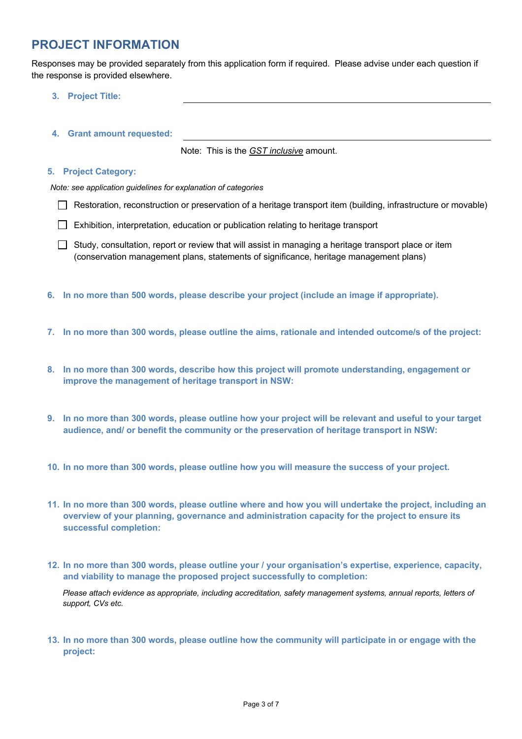### **PROJECT INFORMATION**

Responses may be provided separately from this application form if required. Please advise under each question if the response is provided elsewhere.

- **3. Project Title:**
- **4. Grant amount requested:**

Note: This is the *GST inclusive* amount.

#### **5. Project Category:**

*Note: see application guidelines for explanation of categories*

- Restoration, reconstruction or preservation of a heritage transport item (building, infrastructure or movable)
- Exhibition, interpretation, education or publication relating to heritage transport
- $\Box$  Study, consultation, report or review that will assist in managing a heritage transport place or item (conservation management plans, statements of significance, heritage management plans)
- **6. In no more than 500 words, please describe your project (include an image if appropriate).**
- **7. In no more than 300 words, please outline the aims, rationale and intended outcome/s of the project:**
- **8. In no more than 300 words, describe how this project will promote understanding, engagement or improve the management of heritage transport in NSW:**
- **9. In no more than 300 words, please outline how your project will be relevant and useful to your target audience, and/ or benefit the community or the preservation of heritage transport in NSW:**
- **10. In no more than 300 words, please outline how you will measure the success of your project.**
- **11. In no more than 300 words, please outline where and how you will undertake the project, including an overview of your planning, governance and administration capacity for the project to ensure its successful completion:**
- **12. In no more than 300 words, please outline your / your organisation's expertise, experience, capacity, and viability to manage the proposed project successfully to completion:**

*Please attach evidence as appropriate, including accreditation, safety management systems, annual reports, letters of support, CVs etc.* 

**13. In no more than 300 words, please outline how the community will participate in or engage with the project:**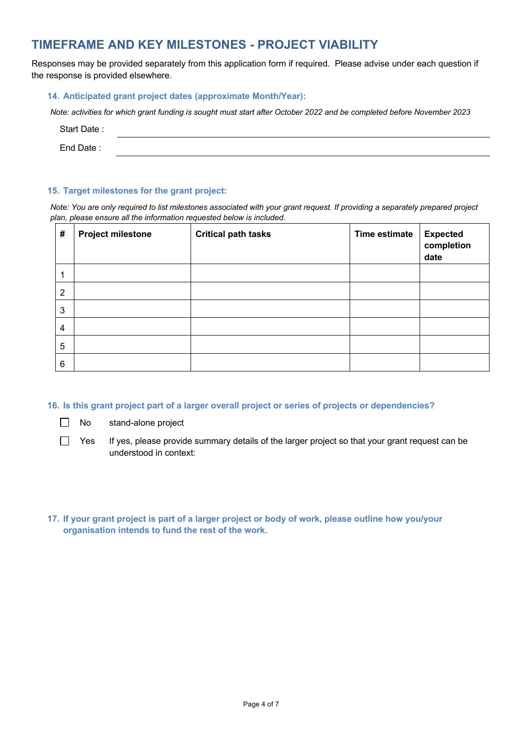## **TIMEFRAME AND KEY MILESTONES - PROJECT VIABILITY**

Responses may be provided separately from this application form if required. Please advise under each question if the response is provided elsewhere.

#### **14. Anticipated grant project dates (approximate Month/Year):**

*Note: activities for which grant funding is sought must start after October 2022 and be completed before November 2023*

| Start Date: |  |
|-------------|--|
|             |  |

End Date :

#### **15. Target milestones for the grant project:**

*Note: You are only required to list milestones associated with your grant request. If providing a separately prepared project plan, please ensure all the information requested below is included.*

| #              | <b>Project milestone</b> | <b>Critical path tasks</b> | Time estimate | <b>Expected</b><br>completion<br>date |
|----------------|--------------------------|----------------------------|---------------|---------------------------------------|
| 1              |                          |                            |               |                                       |
| $\overline{2}$ |                          |                            |               |                                       |
| 3              |                          |                            |               |                                       |
| 4              |                          |                            |               |                                       |
| 5              |                          |                            |               |                                       |
| 6              |                          |                            |               |                                       |

**16. Is this grant project part of a larger overall project or series of projects or dependencies?**

 $\Box$ No stand-alone project

 $\Box$ 

Yes If yes, please provide summary details of the larger project so that your grant request can be understood in context:

**17. If your grant project is part of a larger project or body of work, please outline how you/your organisation intends to fund the rest of the work.**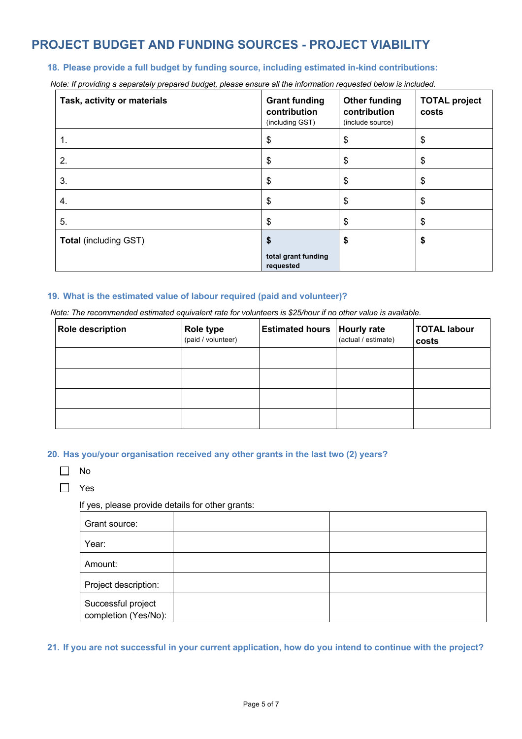# **PROJECT BUDGET AND FUNDING SOURCES - PROJECT VIABILITY**

#### **18. Please provide a full budget by funding source, including estimated in-kind contributions:**

*Note: If providing a separately prepared budget, please ensure all the information requested below is included.* 

| Task, activity or materials  | <b>Grant funding</b><br>contribution<br>(including GST) | <b>Other funding</b><br>contribution<br>(include source) | <b>TOTAL project</b><br>costs |
|------------------------------|---------------------------------------------------------|----------------------------------------------------------|-------------------------------|
| 1.                           | \$                                                      | \$                                                       | \$                            |
| 2.                           | \$                                                      | \$                                                       | \$                            |
| 3.                           | \$                                                      | S                                                        | \$                            |
| 4.                           | \$                                                      | \$                                                       | \$                            |
| 5.                           | \$                                                      | \$                                                       | \$                            |
| <b>Total (including GST)</b> | \$                                                      | \$                                                       | \$                            |
|                              | total grant funding<br>requested                        |                                                          |                               |

#### **19. What is the estimated value of labour required (paid and volunteer)?**

*Note: The recommended estimated equivalent rate for volunteers is \$25/hour if no other value is available.*

| <b>Role description</b> | <b>Role type</b><br>(paid / volunteer) | <b>Estimated hours</b> | <b>Hourly rate</b><br>(actual / estimate) | <b>TOTAL labour</b><br>costs |
|-------------------------|----------------------------------------|------------------------|-------------------------------------------|------------------------------|
|                         |                                        |                        |                                           |                              |
|                         |                                        |                        |                                           |                              |
|                         |                                        |                        |                                           |                              |
|                         |                                        |                        |                                           |                              |

**20. Has you/your organisation received any other grants in the last two (2) years?**

|--|--|

 $\Box$  Yes

If yes, please provide details for other grants:

| Grant source:                              |  |
|--------------------------------------------|--|
| Year:                                      |  |
| Amount:                                    |  |
| Project description:                       |  |
| Successful project<br>completion (Yes/No): |  |

**21. If you are not successful in your current application, how do you intend to continue with the project?**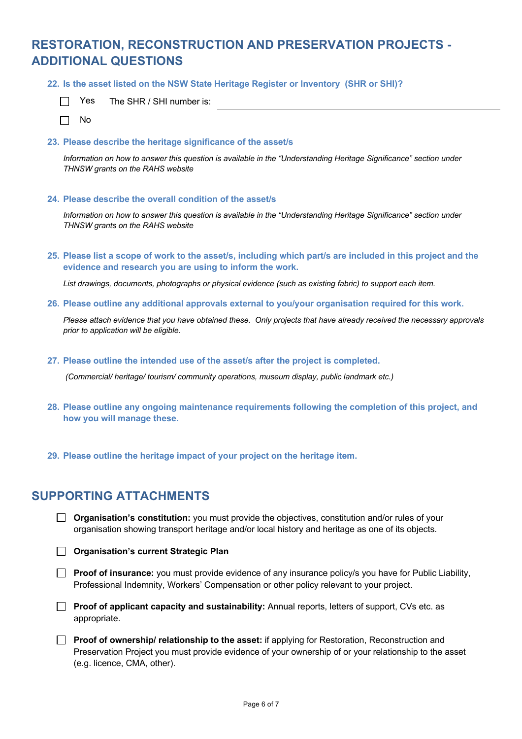# **RESTORATION, RECONSTRUCTION AND PRESERVATION PROJECTS - ADDITIONAL QUESTIONS**

**22. Is the asset listed on the NSW State Heritage Register or Inventory (SHR or SHI)?**

| Yes. | The SHR / SHI number is: |
|------|--------------------------|
|------|--------------------------|

 $\Box$ No

 $\Box$ 

#### **23. Please describe the heritage significance of the asset/s**

*Information on how to answer this question is available in the "Understanding Heritage Significance" section under THNSW grants on the RAHS website*

#### **24. Please describe the overall condition of the asset/s**

*Information on how to answer this question is available in the "Understanding Heritage Significance" section under THNSW grants on the RAHS website*

**25. Please list a scope of work to the asset/s, including which part/s are included in this project and the evidence and research you are using to inform the work.** 

*List drawings, documents, photographs or physical evidence (such as existing fabric) to support each item.* 

**26. Please outline any additional approvals external to you/your organisation required for this work.**

*Please attach evidence that you have obtained these. Only projects that have already received the necessary approvals prior to application will be eligible.* 

**27. Please outline the intended use of the asset/s after the project is completed.**

*(Commercial/ heritage/ tourism/ community operations, museum display, public landmark etc.)*

- **28. Please outline any ongoing maintenance requirements following the completion of this project, and how you will manage these.**
- **29. Please outline the heritage impact of your project on the heritage item.**

### **SUPPORTING ATTACHMENTS**

**Corganisation's constitution:** you must provide the objectives, constitution and/or rules of your organisation showing transport heritage and/or local history and heritage as one of its objects.

**Organisation's current Strategic Plan**

**Proof of insurance:** you must provide evidence of any insurance policy/s you have for Public Liability, Professional Indemnity, Workers' Compensation or other policy relevant to your project.

**Proof of applicant capacity and sustainability:** Annual reports, letters of support, CVs etc. as appropriate.

**Proof of ownership/ relationship to the asset:** if applying for Restoration, Reconstruction and Preservation Project you must provide evidence of your ownership of or your relationship to the asset (e.g. licence, CMA, other).